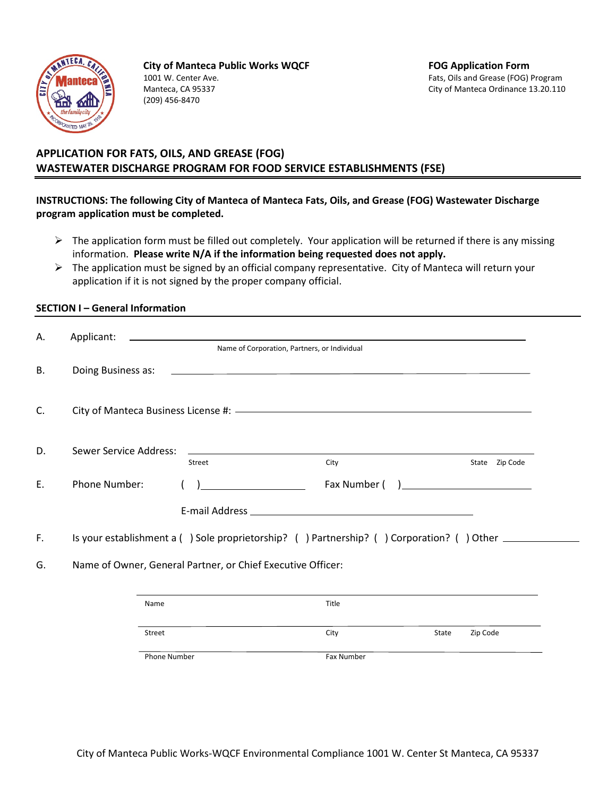

**City of Manteca Public Works WQCF FOG Application Form** 1001 W. Center Ave. Fats, Oils and Grease (FOG) Program Manteca, CA 95337 City of Manteca Ordinance 13.20.110 (209) 456-8470

# **APPLICATION FOR FATS, OILS, AND GREASE (FOG) WASTEWATER DISCHARGE PROGRAM FOR FOOD SERVICE ESTABLISHMENTS (FSE)**

# **INSTRUCTIONS: The following City of Manteca of Manteca Fats, Oils, and Grease (FOG) Wastewater Discharge program application must be completed.**

- $\triangleright$  The application form must be filled out completely. Your application will be returned if there is any missing information. **Please write N/A if the information being requested does not apply.**
- $\triangleright$  The application must be signed by an official company representative. City of Manteca will return your application if it is not signed by the proper company official.

## **SECTION I – General Information**

| Α.                                | Applicant:             |        |                                                                                                                                                                                                                                |       |       |                                                     |
|-----------------------------------|------------------------|--------|--------------------------------------------------------------------------------------------------------------------------------------------------------------------------------------------------------------------------------|-------|-------|-----------------------------------------------------|
|                                   |                        |        | Name of Corporation, Partners, or Individual                                                                                                                                                                                   |       |       |                                                     |
| <b>B.</b>                         |                        |        | Doing Business as: 2000 Contract to the Contract of the Contract of the Contract of the Contract of the Contract of the Contract of the Contract of the Contract of the Contract of the Contract of the Contract of the Contra |       |       |                                                     |
| C.                                |                        |        |                                                                                                                                                                                                                                |       |       |                                                     |
| D.                                | Sewer Service Address: |        | <u> 1999 - Johann Stoff, amerikansk politiker (d. 1989)</u><br>Street                                                                                                                                                          | City  |       | State Zip Code                                      |
| Ε.                                | Phone Number:          |        |                                                                                                                                                                                                                                |       |       | ) and the contract of the contract of $\mathcal{L}$ |
|                                   |                        |        |                                                                                                                                                                                                                                |       |       |                                                     |
| F.                                |                        |        | Is your establishment a () Sole proprietorship? () Partnership? () Corporation? () Other ___________                                                                                                                           |       |       |                                                     |
| G.                                |                        |        | Name of Owner, General Partner, or Chief Executive Officer:                                                                                                                                                                    |       |       |                                                     |
|                                   |                        |        |                                                                                                                                                                                                                                |       |       |                                                     |
|                                   |                        | Name   |                                                                                                                                                                                                                                | Title |       |                                                     |
|                                   |                        | Street |                                                                                                                                                                                                                                | City  | State | Zip Code                                            |
| <b>Phone Number</b><br>Fax Number |                        |        |                                                                                                                                                                                                                                |       |       |                                                     |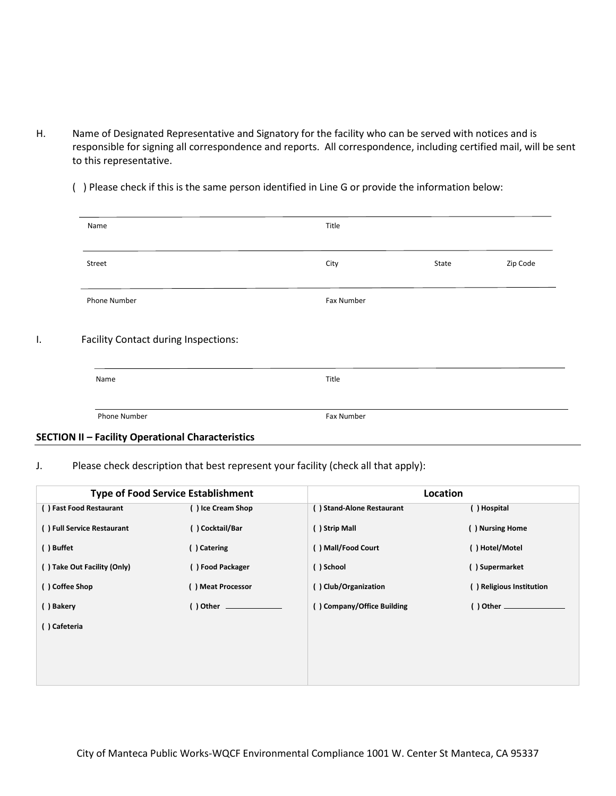H. Name of Designated Representative and Signatory for the facility who can be served with notices and is responsible for signing all correspondence and reports. All correspondence, including certified mail, will be sent to this representative.

( ) Please check if this is the same person identified in Line G or provide the information below:

| Name                                        | Title      |       |          |
|---------------------------------------------|------------|-------|----------|
| Street                                      | City       | State | Zip Code |
| Phone Number                                | Fax Number |       |          |
|                                             |            |       |          |
| <b>Facility Contact during Inspections:</b> |            |       |          |
| Name                                        | Title      |       |          |

## **SECTION II – Facility Operational Characteristics**

### J. Please check description that best represent your facility (check all that apply):

|                             | <b>Type of Food Service Establishment</b> | Location                   |                          |  |
|-----------------------------|-------------------------------------------|----------------------------|--------------------------|--|
| () Fast Food Restaurant     | () Ice Cream Shop                         | () Stand-Alone Restaurant  | () Hospital              |  |
| () Full Service Restaurant  | () Cocktail/Bar                           | () Strip Mall              | () Nursing Home          |  |
| () Buffet                   | () Catering                               | ) Mall/Food Court          | ()Hotel/Motel            |  |
| () Take Out Facility (Only) | () Food Packager                          | ()School                   | () Supermarket           |  |
| () Coffee Shop              | () Meat Processor                         | () Club/Organization       | () Religious Institution |  |
| () Bakery                   | () Other ______________                   | () Company/Office Building |                          |  |
| () Cafeteria                |                                           |                            |                          |  |
|                             |                                           |                            |                          |  |
|                             |                                           |                            |                          |  |
|                             |                                           |                            |                          |  |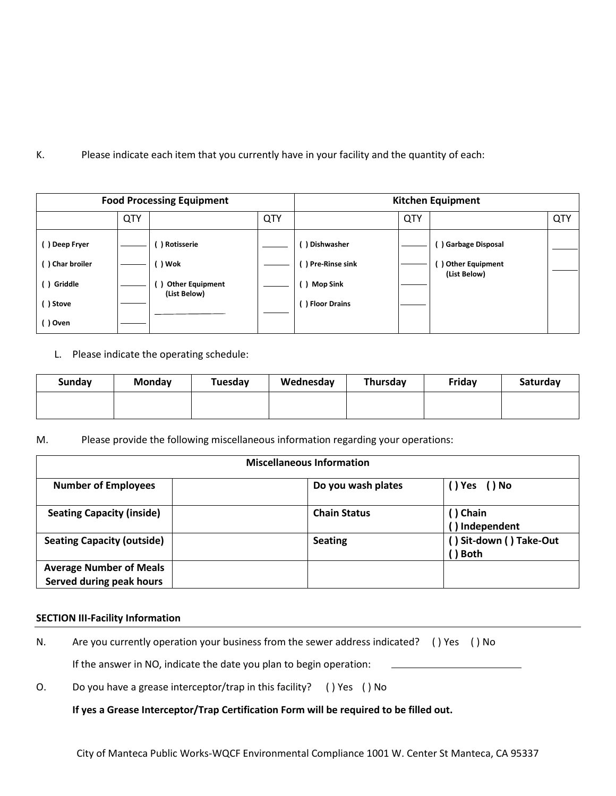K. Please indicate each item that you currently have in your facility and the quantity of each:

| <b>Food Processing Equipment</b> |     |                                        | <b>Kitchen Equipment</b> |                  |     |                  |     |
|----------------------------------|-----|----------------------------------------|--------------------------|------------------|-----|------------------|-----|
|                                  | QTY |                                        | QTY                      |                  | QTY |                  | QTY |
| ( ) Deep Fryer                   |     | ) Rotisserie                           |                          | ) Dishwasher     |     | Garbage Disposal |     |
| () Char broiler                  |     | )Wok                                   |                          | ) Pre-Rinse sink |     | Other Equipment  |     |
| () Griddle                       |     | <b>Other Equipment</b><br>(List Below) |                          | ) Mop Sink       |     | (List Below)     |     |
| () Stove                         |     |                                        |                          | Floor Drains     |     |                  |     |
| () Oven                          |     |                                        |                          |                  |     |                  |     |

L. Please indicate the operating schedule:

| Sunday | Monday | Tuesday | Wednesday | Thursday | Friday | Saturday |
|--------|--------|---------|-----------|----------|--------|----------|
|        |        |         |           |          |        |          |

M. Please provide the following miscellaneous information regarding your operations:

| <b>Miscellaneous Information</b>                           |                     |                                   |  |  |  |
|------------------------------------------------------------|---------------------|-----------------------------------|--|--|--|
| <b>Number of Employees</b>                                 | Do you wash plates  | () Yes () No                      |  |  |  |
| <b>Seating Capacity (inside)</b>                           | <b>Chain Status</b> | () Chain<br>() Independent        |  |  |  |
| <b>Seating Capacity (outside)</b>                          | <b>Seating</b>      | () Sit-down () Take-Out<br>) Both |  |  |  |
| <b>Average Number of Meals</b><br>Served during peak hours |                     |                                   |  |  |  |

### **SECTION III-Facility Information**

- N. Are you currently operation your business from the sewer address indicated? ( ) Yes ( ) No If the answer in NO, indicate the date you plan to begin operation:
- O. Do you have a grease interceptor/trap in this facility? ( ) Yes ( ) No

**If yes a Grease Interceptor/Trap Certification Form will be required to be filled out.**